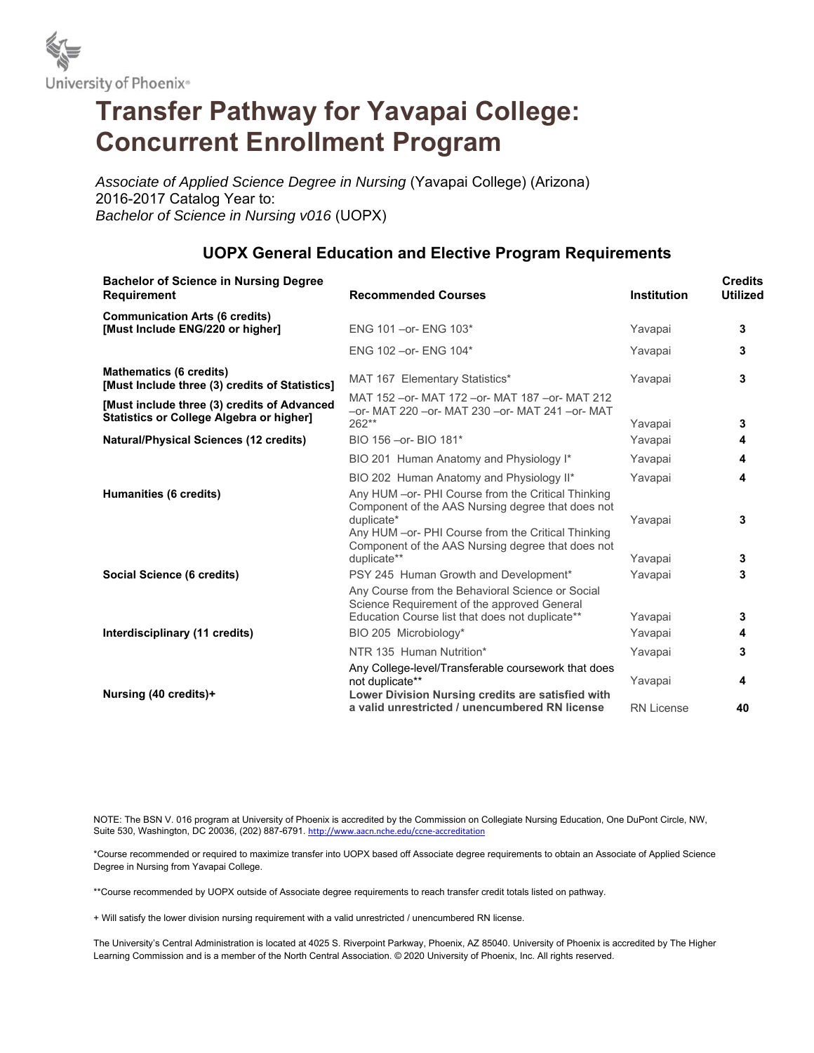

## **Transfer Pathway for Yavapai College: Concurrent Enrollment Program**

*Associate of Applied Science Degree in Nursing* (Yavapai College) (Arizona) 2016-2017 Catalog Year to: *Bachelor of Science in Nursing v016* (UOPX)

## **UOPX General Education and Elective Program Requirements**

| <b>Bachelor of Science in Nursing Degree</b><br><b>Requirement</b>                             | <b>Recommended Courses</b>                                                                                                                                                  | <b>Institution</b> | <b>Credits</b><br><b>Utilized</b> |
|------------------------------------------------------------------------------------------------|-----------------------------------------------------------------------------------------------------------------------------------------------------------------------------|--------------------|-----------------------------------|
| <b>Communication Arts (6 credits)</b><br>[Must Include ENG/220 or higher]                      | ENG 101-or-ENG 103*                                                                                                                                                         | Yavapai            | 3                                 |
|                                                                                                | ENG 102 - or - ENG 104*                                                                                                                                                     | Yavapai            | 3                                 |
| <b>Mathematics (6 credits)</b><br>[Must Include three (3) credits of Statistics]               | MAT 167 Elementary Statistics*                                                                                                                                              | Yavapai            | 3                                 |
| [Must include three (3) credits of Advanced<br><b>Statistics or College Algebra or higher]</b> | MAT 152 - or - MAT 172 - or - MAT 187 - or - MAT 212<br>-or- MAT 220 -or- MAT 230 -or- MAT 241 -or- MAT<br>$262**$                                                          | Yavapai            | 3                                 |
| <b>Natural/Physical Sciences (12 credits)</b>                                                  | BIO 156 - or - BIO 181*                                                                                                                                                     | Yavapai            | 4                                 |
|                                                                                                | BIO 201 Human Anatomy and Physiology I*                                                                                                                                     | Yavapai            | 4                                 |
| Humanities (6 credits)                                                                         | BIO 202 Human Anatomy and Physiology II*<br>Any HUM - or- PHI Course from the Critical Thinking                                                                             | Yavapai            | 4                                 |
|                                                                                                | Component of the AAS Nursing degree that does not<br>duplicate*<br>Any HUM - or- PHI Course from the Critical Thinking<br>Component of the AAS Nursing degree that does not | Yavapai            | 3                                 |
|                                                                                                | duplicate**                                                                                                                                                                 | Yavapai            | 3                                 |
| Social Science (6 credits)                                                                     | PSY 245 Human Growth and Development*                                                                                                                                       | Yavapai            | 3                                 |
|                                                                                                | Any Course from the Behavioral Science or Social<br>Science Requirement of the approved General<br>Education Course list that does not duplicate**                          | Yavapai            | 3                                 |
| Interdisciplinary (11 credits)                                                                 | BIO 205 Microbiology*                                                                                                                                                       | Yavapai            | 4                                 |
|                                                                                                | NTR 135 Human Nutrition*                                                                                                                                                    | Yavapai            | 3                                 |
| Nursing (40 credits)+                                                                          | Any College-level/Transferable coursework that does<br>not duplicate**<br>Lower Division Nursing credits are satisfied with                                                 | Yavapai            | 4                                 |
|                                                                                                | a valid unrestricted / unencumbered RN license                                                                                                                              | <b>RN License</b>  | 40                                |

NOTE: The BSN V. 016 program at University of Phoenix is accredited by the Commission on Collegiate Nursing Education, One DuPont Circle, NW, Suite 530, Washington, DC 20036, (202) 887-6791. http://www.aacn.nche.edu/ccne-accreditation

\*Course recommended or required to maximize transfer into UOPX based off Associate degree requirements to obtain an Associate of Applied Science Degree in Nursing from Yavapai College.

\*\*Course recommended by UOPX outside of Associate degree requirements to reach transfer credit totals listed on pathway.

+ Will satisfy the lower division nursing requirement with a valid unrestricted / unencumbered RN license.

The University's Central Administration is located at 4025 S. Riverpoint Parkway, Phoenix, AZ 85040. University of Phoenix is accredited by The Higher Learning Commission and is a member of the North Central Association. © 2020 University of Phoenix, Inc. All rights reserved.